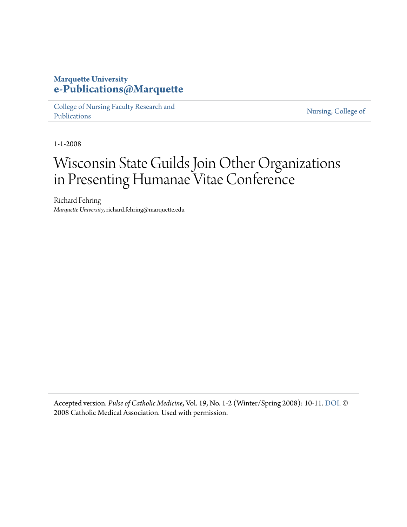#### **Marquette University [e-Publications@Marquette](https://epublications.marquette.edu/)**

[College of Nursing Faculty Research and](https://epublications.marquette.edu/nursing_fac) [Publications](https://epublications.marquette.edu/nursing_fac)

[Nursing, College of](https://epublications.marquette.edu/nursing)

1-1-2008

## Wisconsin State Guilds Join Other Organizations in Presenting Humanae Vitae Conference

Richard Fehring *Marquette University*, richard.fehring@marquette.edu

Accepted version. *Pulse of Catholic Medicine*, Vol. 19, No. 1-2 (Winter/Spring 2008): 10-11. [DOI.](https://www.cathmed.org/resources/fall-winter-2018/) © 2008 Catholic Medical Association. Used with permission.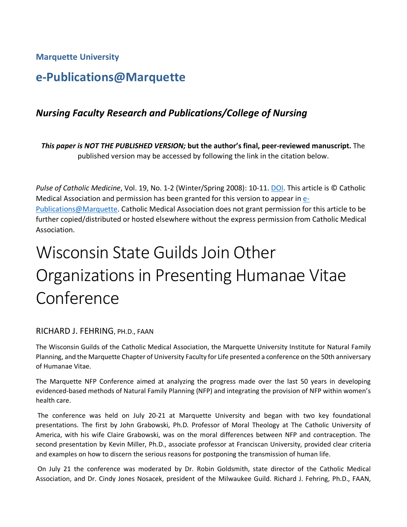**Marquette University**

### **e-Publications@Marquette**

#### *Nursing Faculty Research and Publications/College of Nursing*

*This paper is NOT THE PUBLISHED VERSION;* **but the author's final, peer-reviewed manuscript.** The published version may be accessed by following the link in the citation below.

*Pulse of Catholic Medicine*, Vol. 19, No. 1-2 (Winter/Spring 2008): 10-11. [DOI.](https://www.cathmed.org/resources/fall-winter-2018/) This article is © Catholic Medical Association and permission has been granted for this version to appear in [e-](http://epublications.marquette.edu/)[Publications@Marquette.](http://epublications.marquette.edu/) Catholic Medical Association does not grant permission for this article to be further copied/distributed or hosted elsewhere without the express permission from Catholic Medical Association.

# Wisconsin State Guilds Join Other Organizations in Presenting Humanae Vitae Conference

#### RICHARD J. FEHRING, PH.D., FAAN

The Wisconsin Guilds of the Catholic Medical Association, the Marquette University Institute for Natural Family Planning, and the Marquette Chapter of University Faculty for Life presented a conference on the 50th anniversary of Humanae Vitae.

The Marquette NFP Conference aimed at analyzing the progress made over the last 50 years in developing evidenced-based methods of Natural Family Planning (NFP) and integrating the provision of NFP within women's health care.

The conference was held on July 20-21 at Marquette University and began with two key foundational presentations. The first by John Grabowski, Ph.D. Professor of Moral Theology at The Catholic University of America, with his wife Claire Grabowski, was on the moral differences between NFP and contraception. The second presentation by Kevin Miller, Ph.D., associate professor at Franciscan University, provided clear criteria and examples on how to discern the serious reasons for postponing the transmission of human life.

On July 21 the conference was moderated by Dr. Robin Goldsmith, state director of the Catholic Medical Association, and Dr. Cindy Jones Nosacek, president of the Milwaukee Guild. Richard J. Fehring, Ph.D., FAAN,